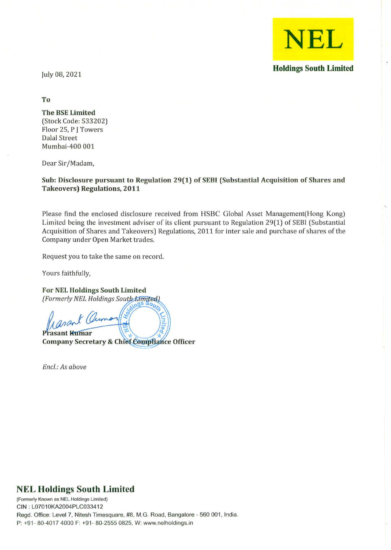

July 08,2021

**To** 

**The BSE Limited**  (Stock Code: 533202) Floor 25, P J Towers Dalal Street Mumbai-400 001

Dear Sir/Madam,

**Sub: Disclosure pursuant to Regulation 29(1) of SEBI (Substantial Acquisition of Shares and Takeovers) Regulations, 2011** 

Please find the enclosed disclosure *received* from HSBC Global Asset Management(Hong Kong) Limited being the *investment* adviser of its client pursuant to Regulation 29(1) of SEBI (Substantial Acquisition of Shares and *Takeovers)* Regulations, 2011 for inter sale and purchase of shares of the Company under Open Market trades.

Request you to take the same on record.

Yours faithfully,

**For NEl Holdings South Limited**  *(Formerly NEL Holdings South Limited)* 

asan **Prasant Kumar Company Secretary & Chief Complia** 

*Encl.: As above* 

## **NEL Holdings South Limited**

**(Formerly Known as NEL Holdings Limited)**  CIN : L07010KA2004PLC033412 Regd. Office: Level 7, Nitesh Timesquare, #8, M.G. Road, Bangalore - 560 001, India. P: +91- 80-4017 4000 F: +91 - 80-2555 0825, W: www.nelholdings.in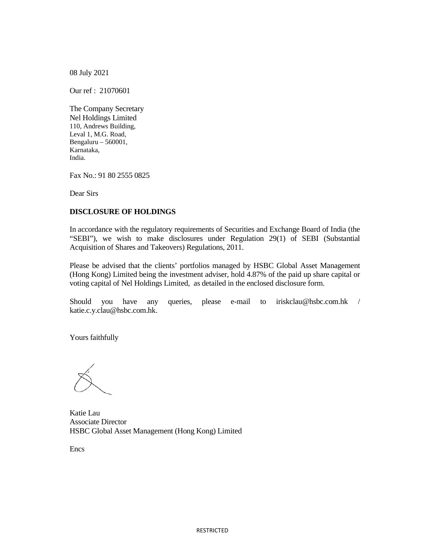08 July 2021

Our ref : 21070601

The Company Secretary Nel Holdings Limited 110, Andrews Building, Leval 1, M.G. Road, Bengaluru – 560001, Karnataka, India.

Fax No.: 91 80 2555 0825

Dear Sirs

## **DISCLOSURE OF HOLDINGS**

In accordance with the regulatory requirements of Securities and Exchange Board of India (the "SEBI"), we wish to make disclosures under Regulation 29(1) of SEBI (Substantial Acquisition of Shares and Takeovers) Regulations, 2011.

Please be advised that the clients' portfolios managed by HSBC Global Asset Management (Hong Kong) Limited being the investment adviser, hold 4.87% of the paid up share capital or voting capital of Nel Holdings Limited, as detailed in the enclosed disclosure form.

Should you have any queries, please e-mail to iriskclau@hsbc.com.hk / katie.c.y.clau@hsbc.com.hk.

Yours faithfully

Katie Lau Associate Director HSBC Global Asset Management (Hong Kong) Limited

Encs